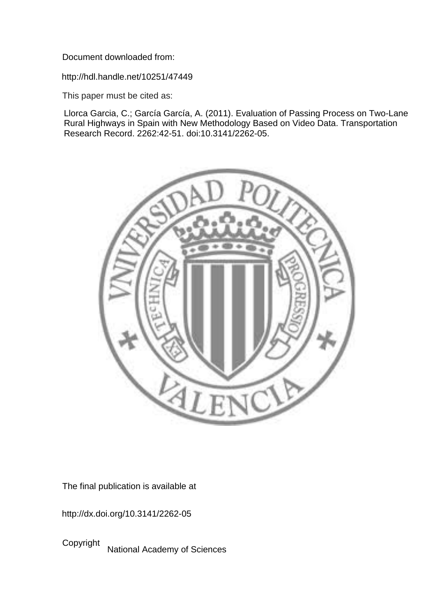Document downloaded from:

http://hdl.handle.net/10251/47449

This paper must be cited as:

Llorca Garcia, C.; García García, A. (2011). Evaluation of Passing Process on Two-Lane Rural Highways in Spain with New Methodology Based on Video Data. Transportation Research Record. 2262:42-51. doi:10.3141/2262-05.



The final publication is available at

http://dx.doi.org/10.3141/2262-05

Copyright National Academy of Sciences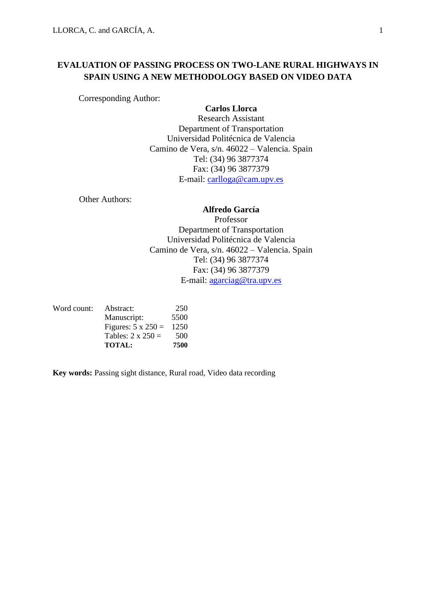# **EVALUATION OF PASSING PROCESS ON TWO-LANE RURAL HIGHWAYS IN SPAIN USING A NEW METHODOLOGY BASED ON VIDEO DATA**

Corresponding Author:

**Carlos Llorca** 

Research Assistant Department of Transportation Universidad Politécnica de Valencia Camino de Vera, s/n. 46022 – Valencia. Spain Tel: (34) 96 3877374 Fax: (34) 96 3877379 E-mail: [carlloga@cam.upv.es](mailto:carlloga@cam.upv.es)

Other Authors:

# **Alfredo García**

Professor Department of Transportation Universidad Politécnica de Valencia Camino de Vera, s/n. 46022 – Valencia. Spain Tel: (34) 96 3877374 Fax: (34) 96 3877379 E-mail: [agarciag@tra.upv.es](mailto:agarciag@tra.upv.es)

| Word count: | Abstract:                 | 250  |
|-------------|---------------------------|------|
|             | Manuscript:               | 5500 |
|             | Figures: $5 \times 250 =$ | 1250 |
|             | Tables: $2 \times 250 =$  | 500  |
|             | <b>TOTAL:</b>             | 7500 |

**Key words:** Passing sight distance, Rural road, Video data recording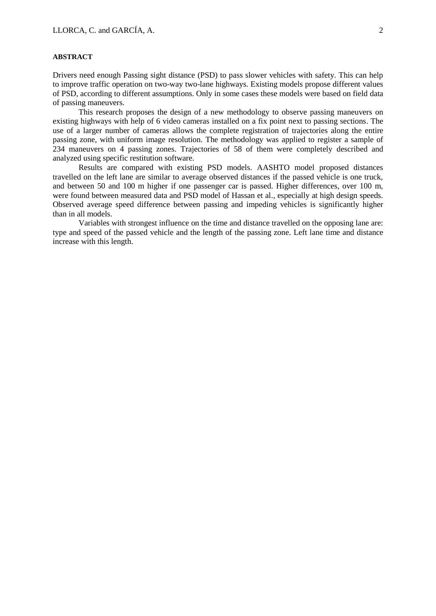## **ABSTRACT**

Drivers need enough Passing sight distance (PSD) to pass slower vehicles with safety. This can help to improve traffic operation on two-way two-lane highways. Existing models propose different values of PSD, according to different assumptions. Only in some cases these models were based on field data of passing maneuvers.

This research proposes the design of a new methodology to observe passing maneuvers on existing highways with help of 6 video cameras installed on a fix point next to passing sections. The use of a larger number of cameras allows the complete registration of trajectories along the entire passing zone, with uniform image resolution. The methodology was applied to register a sample of 234 maneuvers on 4 passing zones. Trajectories of 58 of them were completely described and analyzed using specific restitution software.

Results are compared with existing PSD models. AASHTO model proposed distances travelled on the left lane are similar to average observed distances if the passed vehicle is one truck, and between 50 and 100 m higher if one passenger car is passed. Higher differences, over 100 m, were found between measured data and PSD model of Hassan et al., especially at high design speeds. Observed average speed difference between passing and impeding vehicles is significantly higher than in all models.

Variables with strongest influence on the time and distance travelled on the opposing lane are: type and speed of the passed vehicle and the length of the passing zone. Left lane time and distance increase with this length.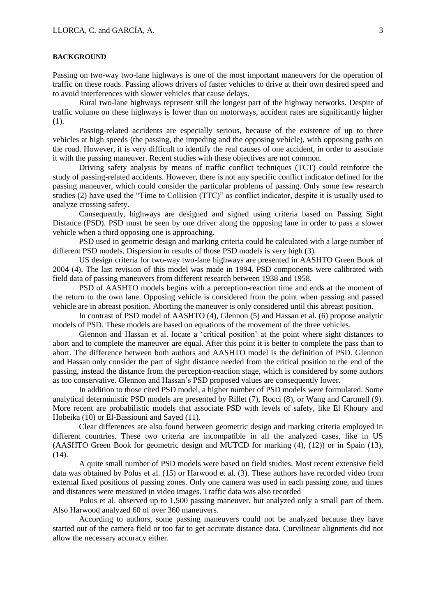#### **BACKGROUND**

Passing on two-way two-lane highways is one of the most important maneuvers for the operation of traffic on these roads. Passing allows drivers of faster vehicles to drive at their own desired speed and to avoid interferences with slower vehicles that cause delays.

Rural two-lane highways represent still the longest part of the highway networks. Despite of traffic volume on these highways is lower than on motorways, accident rates are significantly higher (1).

Passing-related accidents are especially serious, because of the existence of up to three vehicles at high speeds (the passing, the impeding and the opposing vehicle), with opposing paths on the road. However, it is very difficult to identify the real causes of one accident, in order to associate it with the passing maneuver. Recent studies with these objectives are not common.

Driving safety analysis by means of traffic conflict techniques (TCT) could reinforce the study of passing-related accidents. However, there is not any specific conflict indicator defined for the passing maneuver, which could consider the particular problems of passing. Only some few research studies (2) have used the "Time to Collision (TTC)" as conflict indicator, despite it is usually used to analyze crossing safety.

Consequently, highways are designed and signed using criteria based on Passing Sight Distance (PSD). PSD must be seen by one driver along the opposing lane in order to pass a slower vehicle when a third opposing one is approaching.

PSD used in geometric design and marking criteria could be calculated with a large number of different PSD models. Dispersion in results of those PSD models is very high (3).

US design criteria for two-way two-lane highways are presented in AASHTO Green Book of 2004 (4). The last revision of this model was made in 1994. PSD components were calibrated with field data of passing maneuvers from different research between 1938 and 1958.

PSD of AASHTO models begins with a perception-reaction time and ends at the moment of the return to the own lane. Opposing vehicle is considered from the point when passing and passed vehicle are in abreast position. Aborting the maneuver is only considered until this abreast position.

In contrast of PSD model of AASHTO (4), Glennon (5) and Hassan et al. (6) propose analytic models of PSD. These models are based on equations of the movement of the three vehicles.

Glennon and Hassan et al. locate a 'critical position' at the point where sight distances to abort and to complete the maneuver are equal. After this point it is better to complete the pass than to abort. The difference between both authors and AASHTO model is the definition of PSD. Glennon and Hassan only consider the part of sight distance needed from the critical position to the end of the passing, instead the distance from the perception-reaction stage, which is considered by some authors as too conservative. Glennon and Hassan's PSD proposed values are consequently lower.

In addition to those cited PSD model, a higher number of PSD models were formulated. Some analytical deterministic PSD models are presented by Rillet (7), Rocci (8), or Wang and Cartmell (9). More recent are probabilistic models that associate PSD with levels of safety, like El Khoury and Hobeika (10) or El-Bassiouni and Sayed (11).

Clear differences are also found between geometric design and marking criteria employed in different countries. These two criteria are incompatible in all the analyzed cases, like in US (AASHTO Green Book for geometric design and MUTCD for marking (4), (12)) or in Spain (13),  $(14)$ .

A quite small number of PSD models were based on field studies. Most recent extensive field data was obtained by Polus et al. (15) or Harwood et al. (3). These authors have recorded video from external fixed positions of passing zones. Only one camera was used in each passing zone, and times and distances were measured in video images. Traffic data was also recorded

Polus et al. observed up to 1,500 passing maneuver, but analyzed only a small part of them. Also Harwood analyzed 60 of over 360 maneuvers.

According to authors, some passing maneuvers could not be analyzed because they have started out of the camera field or too far to get accurate distance data. Curvilinear alignments did not allow the necessary accuracy either.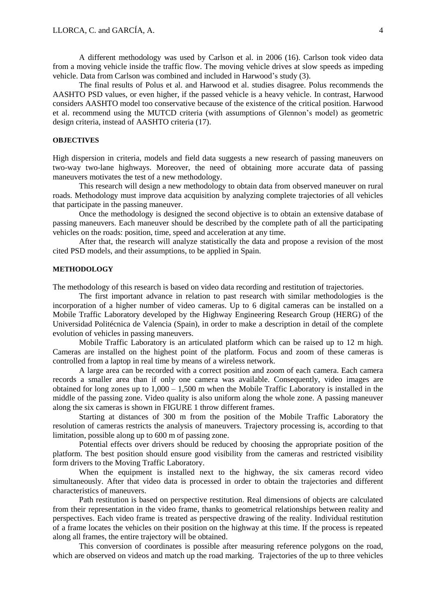A different methodology was used by Carlson et al. in 2006 (16). Carlson took video data from a moving vehicle inside the traffic flow. The moving vehicle drives at slow speeds as impeding vehicle. Data from Carlson was combined and included in Harwood's study (3).

The final results of Polus et al. and Harwood et al. studies disagree. Polus recommends the AASHTO PSD values, or even higher, if the passed vehicle is a heavy vehicle. In contrast, Harwood considers AASHTO model too conservative because of the existence of the critical position. Harwood et al. recommend using the MUTCD criteria (with assumptions of Glennon's model) as geometric design criteria, instead of AASHTO criteria (17).

## **OBJECTIVES**

High dispersion in criteria, models and field data suggests a new research of passing maneuvers on two-way two-lane highways. Moreover, the need of obtaining more accurate data of passing maneuvers motivates the test of a new methodology.

This research will design a new methodology to obtain data from observed maneuver on rural roads. Methodology must improve data acquisition by analyzing complete trajectories of all vehicles that participate in the passing maneuver.

Once the methodology is designed the second objective is to obtain an extensive database of passing maneuvers. Each maneuver should be described by the complete path of all the participating vehicles on the roads: position, time, speed and acceleration at any time.

After that, the research will analyze statistically the data and propose a revision of the most cited PSD models, and their assumptions, to be applied in Spain.

### **METHODOLOGY**

The methodology of this research is based on video data recording and restitution of trajectories.

The first important advance in relation to past research with similar methodologies is the incorporation of a higher number of video cameras. Up to 6 digital cameras can be installed on a Mobile Traffic Laboratory developed by the Highway Engineering Research Group (HERG) of the Universidad Politécnica de Valencia (Spain), in order to make a description in detail of the complete evolution of vehicles in passing maneuvers.

Mobile Traffic Laboratory is an articulated platform which can be raised up to 12 m high. Cameras are installed on the highest point of the platform. Focus and zoom of these cameras is controlled from a laptop in real time by means of a wireless network.

A large area can be recorded with a correct position and zoom of each camera. Each camera records a smaller area than if only one camera was available. Consequently, video images are obtained for long zones up to  $1,000 - 1,500$  m when the Mobile Traffic Laboratory is installed in the middle of the passing zone. Video quality is also uniform along the whole zone. A passing maneuver along the six cameras is shown in FIGURE 1 throw different frames.

Starting at distances of 300 m from the position of the Mobile Traffic Laboratory the resolution of cameras restricts the analysis of maneuvers. Trajectory processing is, according to that limitation, possible along up to 600 m of passing zone.

Potential effects over drivers should be reduced by choosing the appropriate position of the platform. The best position should ensure good visibility from the cameras and restricted visibility form drivers to the Moving Traffic Laboratory.

When the equipment is installed next to the highway, the six cameras record video simultaneously. After that video data is processed in order to obtain the trajectories and different characteristics of maneuvers.

Path restitution is based on perspective restitution. Real dimensions of objects are calculated from their representation in the video frame, thanks to geometrical relationships between reality and perspectives. Each video frame is treated as perspective drawing of the reality. Individual restitution of a frame locates the vehicles on their position on the highway at this time. If the process is repeated along all frames, the entire trajectory will be obtained.

This conversion of coordinates is possible after measuring reference polygons on the road, which are observed on videos and match up the road marking. Trajectories of the up to three vehicles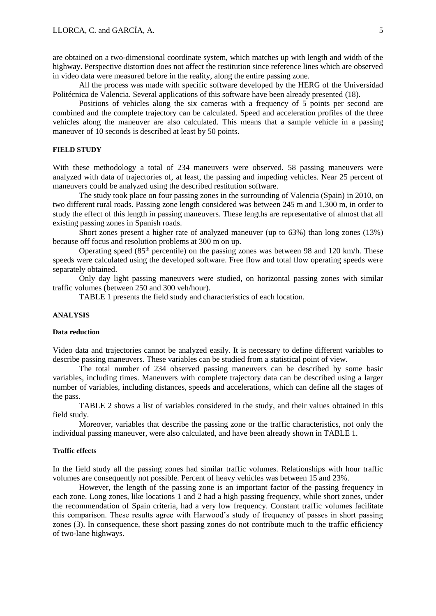are obtained on a two-dimensional coordinate system, which matches up with length and width of the highway. Perspective distortion does not affect the restitution since reference lines which are observed in video data were measured before in the reality, along the entire passing zone.

All the process was made with specific software developed by the HERG of the Universidad Politécnica de Valencia. Several applications of this software have been already presented (18).

Positions of vehicles along the six cameras with a frequency of 5 points per second are combined and the complete trajectory can be calculated. Speed and acceleration profiles of the three vehicles along the maneuver are also calculated. This means that a sample vehicle in a passing maneuver of 10 seconds is described at least by 50 points.

## **FIELD STUDY**

With these methodology a total of 234 maneuvers were observed. 58 passing maneuvers were analyzed with data of trajectories of, at least, the passing and impeding vehicles. Near 25 percent of maneuvers could be analyzed using the described restitution software.

The study took place on four passing zones in the surrounding of Valencia (Spain) in 2010, on two different rural roads. Passing zone length considered was between 245 m and 1,300 m, in order to study the effect of this length in passing maneuvers. These lengths are representative of almost that all existing passing zones in Spanish roads.

Short zones present a higher rate of analyzed maneuver (up to 63%) than long zones (13%) because off focus and resolution problems at 300 m on up.

Operating speed (85<sup>th</sup> percentile) on the passing zones was between 98 and 120 km/h. These speeds were calculated using the developed software. Free flow and total flow operating speeds were separately obtained.

Only day light passing maneuvers were studied, on horizontal passing zones with similar traffic volumes (between 250 and 300 veh/hour).

TABLE 1 presents the field study and characteristics of each location.

## **ANALYSIS**

#### **Data reduction**

Video data and trajectories cannot be analyzed easily. It is necessary to define different variables to describe passing maneuvers. These variables can be studied from a statistical point of view.

The total number of 234 observed passing maneuvers can be described by some basic variables, including times. Maneuvers with complete trajectory data can be described using a larger number of variables, including distances, speeds and accelerations, which can define all the stages of the pass.

TABLE 2 shows a list of variables considered in the study, and their values obtained in this field study.

Moreover, variables that describe the passing zone or the traffic characteristics, not only the individual passing maneuver, were also calculated, and have been already shown in TABLE 1.

### **Traffic effects**

In the field study all the passing zones had similar traffic volumes. Relationships with hour traffic volumes are consequently not possible. Percent of heavy vehicles was between 15 and 23%.

However, the length of the passing zone is an important factor of the passing frequency in each zone. Long zones, like locations 1 and 2 had a high passing frequency, while short zones, under the recommendation of Spain criteria, had a very low frequency. Constant traffic volumes facilitate this comparison. These results agree with Harwood's study of frequency of passes in short passing zones (3). In consequence, these short passing zones do not contribute much to the traffic efficiency of two-lane highways.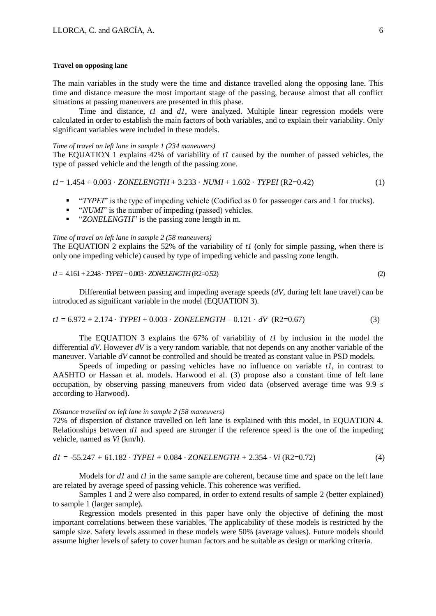#### **Travel on opposing lane**

The main variables in the study were the time and distance travelled along the opposing lane. This time and distance measure the most important stage of the passing, because almost that all conflict situations at passing maneuvers are presented in this phase.

Time and distance, *t1* and *d1*, were analyzed. Multiple linear regression models were calculated in order to establish the main factors of both variables, and to explain their variability. Only significant variables were included in these models.

#### *Time of travel on left lane in sample 1 (234 maneuvers)*

The EQUATION 1 explains 42% of variability of *t1* caused by the number of passed vehicles, the type of passed vehicle and the length of the passing zone.

$$
tI = 1.454 + 0.003 \cdot ZONELENGTH + 3.233 \cdot NUMI + 1.602 \cdot TYPEI (R2=0.42)
$$
 (1)

- **TYPEI**<sup>"</sup> is the type of impeding vehicle (Codified as 0 for passenger cars and 1 for trucks).
- **•** *"NUMI*" is the number of impeding (passed) vehicles.
- *"ZONELENGTH*" is the passing zone length in m.

### *Time of travel on left lane in sample 2 (58 maneuvers)*

The EQUATION 2 explains the 52% of the variability of *t1* (only for simple passing, when there is only one impeding vehicle) caused by type of impeding vehicle and passing zone length.

### *t1*= 4.161+ 2.248 · *TYPEI*+ 0.003 · *ZONELENGTH*(R2=0.52) (2)

Differential between passing and impeding average speeds (*dV*, during left lane travel) can be introduced as significant variable in the model (EQUATION 3)*.*

$$
t1 = 6.972 + 2.174 \cdot TYPEI + 0.003 \cdot ZONELENGTH - 0.121 \cdot dV (R2=0.67)
$$
 (3)

The EQUATION 3 explains the 67% of variability of *t1* by inclusion in the model the differential *dV.* However *dV* is a very random variable, that not depends on any another variable of the maneuver. Variable *dV* cannot be controlled and should be treated as constant value in PSD models.

Speeds of impeding or passing vehicles have no influence on variable *t1*, in contrast to AASHTO or Hassan et al. models. Harwood et al. (3) propose also a constant time of left lane occupation, by observing passing maneuvers from video data (observed average time was 9.9 s according to Harwood).

## *Distance travelled on left lane in sample 2 (58 maneuvers)*

72% of dispersion of distance travelled on left lane is explained with this model, in EQUATION 4. Relationships between *d1* and speed are stronger if the reference speed is the one of the impeding vehicle, named as *Vi* (km/h).

$$
dI = -55.247 + 61.182 \cdot TYPEI + 0.084 \cdot ZONELENGTH + 2.354 \cdot Vi (R2=0.72)
$$
 (4)

Models for *d1* and *t1* in the same sample are coherent, because time and space on the left lane are related by average speed of passing vehicle. This coherence was verified.

Samples 1 and 2 were also compared, in order to extend results of sample 2 (better explained) to sample 1 (larger sample).

Regression models presented in this paper have only the objective of defining the most important correlations between these variables. The applicability of these models is restricted by the sample size. Safety levels assumed in these models were 50% (average values). Future models should assume higher levels of safety to cover human factors and be suitable as design or marking criteria.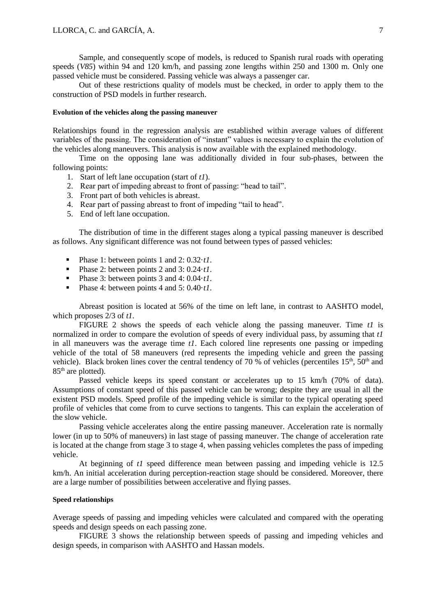Sample, and consequently scope of models, is reduced to Spanish rural roads with operating speeds (*V85*) within 94 and 120 km/h, and passing zone lengths within 250 and 1300 m. Only one passed vehicle must be considered. Passing vehicle was always a passenger car.

Out of these restrictions quality of models must be checked, in order to apply them to the construction of PSD models in further research.

#### **Evolution of the vehicles along the passing maneuver**

Relationships found in the regression analysis are established within average values of different variables of the passing. The consideration of "instant" values is necessary to explain the evolution of the vehicles along maneuvers. This analysis is now available with the explained methodology.

Time on the opposing lane was additionally divided in four sub-phases, between the following points:

- 1. Start of left lane occupation (start of *t1*).
- 2. Rear part of impeding abreast to front of passing: "head to tail".
- 3. Front part of both vehicles is abreast.
- 4. Rear part of passing abreast to front of impeding "tail to head".
- 5. End of left lane occupation.

The distribution of time in the different stages along a typical passing maneuver is described as follows. Any significant difference was not found between types of passed vehicles:

- Phase 1: between points 1 and 2: 0.32*·t1*.
- Phase 2: between points 2 and 3:  $0.24 \cdot t1$ .
- Phase 3: between points 3 and 4: 0.04*·t1*.
- Phase 4: between points 4 and 5: 0.40*·t1*.

Abreast position is located at 56% of the time on left lane, in contrast to AASHTO model, which proposes 2/3 of *t1*.

FIGURE 2 shows the speeds of each vehicle along the passing maneuver. Time *t1* is normalized in order to compare the evolution of speeds of every individual pass, by assuming that *t1* in all maneuvers was the average time *t1*. Each colored line represents one passing or impeding vehicle of the total of 58 maneuvers (red represents the impeding vehicle and green the passing vehicle). Black broken lines cover the central tendency of 70 % of vehicles (percentiles  $15<sup>th</sup>$ ,  $50<sup>th</sup>$  and 85<sup>th</sup> are plotted).

Passed vehicle keeps its speed constant or accelerates up to 15 km/h (70% of data). Assumptions of constant speed of this passed vehicle can be wrong; despite they are usual in all the existent PSD models. Speed profile of the impeding vehicle is similar to the typical operating speed profile of vehicles that come from to curve sections to tangents. This can explain the acceleration of the slow vehicle.

Passing vehicle accelerates along the entire passing maneuver. Acceleration rate is normally lower (in up to 50% of maneuvers) in last stage of passing maneuver. The change of acceleration rate is located at the change from stage 3 to stage 4, when passing vehicles completes the pass of impeding vehicle.

At beginning of *t1* speed difference mean between passing and impeding vehicle is 12.5 km/h. An initial acceleration during perception-reaction stage should be considered. Moreover, there are a large number of possibilities between accelerative and flying passes.

## **Speed relationships**

Average speeds of passing and impeding vehicles were calculated and compared with the operating speeds and design speeds on each passing zone.

FIGURE 3 shows the relationship between speeds of passing and impeding vehicles and design speeds, in comparison with AASHTO and Hassan models.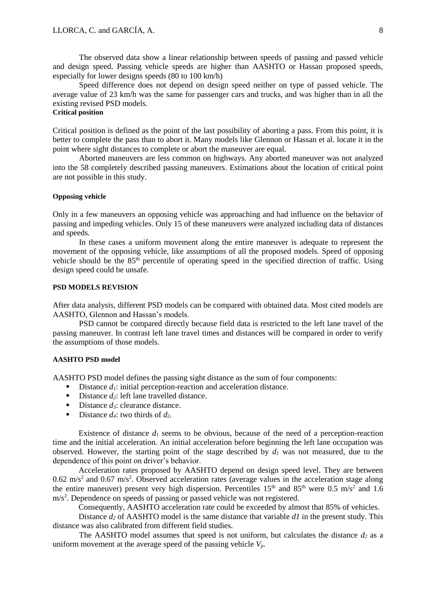The observed data show a linear relationship between speeds of passing and passed vehicle and design speed. Passing vehicle speeds are higher than AASHTO or Hassan proposed speeds, especially for lower designs speeds (80 to 100 km/h)

Speed difference does not depend on design speed neither on type of passed vehicle. The average value of 23 km/h was the same for passenger cars and trucks, and was higher than in all the existing revised PSD models.

## **Critical position**

Critical position is defined as the point of the last possibility of aborting a pass. From this point, it is better to complete the pass than to abort it. Many models like Glennon or Hassan et al. locate it in the point where sight distances to complete or abort the maneuver are equal.

Aborted maneuvers are less common on highways. Any aborted maneuver was not analyzed into the 58 completely described passing maneuvers. Estimations about the location of critical point are not possible in this study.

## **Opposing vehicle**

Only in a few maneuvers an opposing vehicle was approaching and had influence on the behavior of passing and impeding vehicles. Only 15 of these maneuvers were analyzed including data of distances and speeds.

In these cases a uniform movement along the entire maneuver is adequate to represent the movement of the opposing vehicle, like assumptions of all the proposed models. Speed of opposing vehicle should be the 85th percentile of operating speed in the specified direction of traffic. Using design speed could be unsafe.

### **PSD MODELS REVISION**

After data analysis, different PSD models can be compared with obtained data. Most cited models are AASHTO, Glennon and Hassan's models.

PSD cannot be compared directly because field data is restricted to the left lane travel of the passing maneuver. In contrast left lane travel times and distances will be compared in order to verify the assumptions of those models.

#### **AASHTO PSD model**

AASHTO PSD model defines the passing sight distance as the sum of four components:

- Distance  $d_l$ : initial perception-reaction and acceleration distance.
- Distance  $d_2$ : left lane travelled distance.
- Distance *d*<sup>3</sup>: clearance distance.
- **Distance**  $d_4$ : two thirds of  $d_2$ .

Existence of distance  $d_l$  seems to be obvious, because of the need of a perception-reaction time and the initial acceleration. An initial acceleration before beginning the left lane occupation was observed. However, the starting point of the stage described by  $d<sub>l</sub>$  was not measured, due to the dependence of this point on driver's behavior.

Acceleration rates proposed by AASHTO depend on design speed level. They are between  $0.62 \text{ m/s}^2$  and  $0.67 \text{ m/s}^2$ . Observed acceleration rates (average values in the acceleration stage along the entire maneuver) present very high dispersion. Percentiles  $15<sup>th</sup>$  and  $85<sup>th</sup>$  were 0.5 m/s<sup>2</sup> and 1.6 m/s<sup>2</sup>. Dependence on speeds of passing or passed vehicle was not registered.

Consequently, AASHTO acceleration rate could be exceeded by almost that 85% of vehicles.

Distance *d*<sub>2</sub> of AASHTO model is the same distance that variable *d1* in the present study. This distance was also calibrated from different field studies.

The AASHTO model assumes that speed is not uniform, but calculates the distance  $d_2$  as a uniform movement at the average speed of the passing vehicle *Vp*.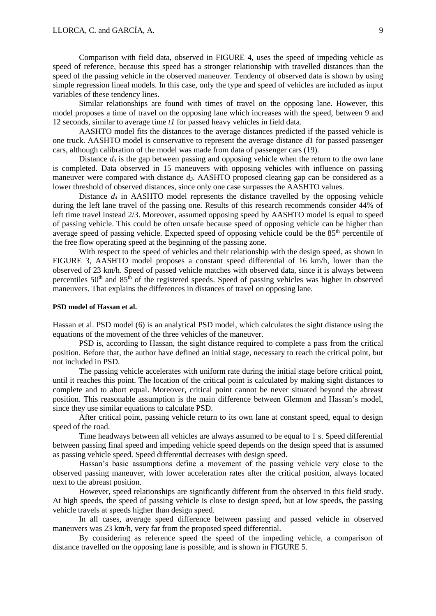Comparison with field data, observed in FIGURE 4, uses the speed of impeding vehicle as speed of reference, because this speed has a stronger relationship with travelled distances than the speed of the passing vehicle in the observed maneuver. Tendency of observed data is shown by using simple regression lineal models. In this case, only the type and speed of vehicles are included as input variables of these tendency lines.

Similar relationships are found with times of travel on the opposing lane. However, this model proposes a time of travel on the opposing lane which increases with the speed, between 9 and 12 seconds, similar to average time *t1* for passed heavy vehicles in field data.

AASHTO model fits the distances to the average distances predicted if the passed vehicle is one truck. AASHTO model is conservative to represent the average distance *d1* for passed passenger cars, although calibration of the model was made from data of passenger cars (19).

Distance  $d_3$  is the gap between passing and opposing vehicle when the return to the own lane is completed. Data observed in 15 maneuvers with opposing vehicles with influence on passing maneuver were compared with distance *d3*. AASHTO proposed clearing gap can be considered as a lower threshold of observed distances, since only one case surpasses the AASHTO values.

Distance  $d_4$  in AASHTO model represents the distance travelled by the opposing vehicle during the left lane travel of the passing one. Results of this research recommends consider 44% of left time travel instead 2/3. Moreover, assumed opposing speed by AASHTO model is equal to speed of passing vehicle. This could be often unsafe because speed of opposing vehicle can be higher than average speed of passing vehicle. Expected speed of opposing vehicle could be the 85<sup>th</sup> percentile of the free flow operating speed at the beginning of the passing zone.

With respect to the speed of vehicles and their relationship with the design speed, as shown in FIGURE 3, AASHTO model proposes a constant speed differential of 16 km/h, lower than the observed of 23 km/h. Speed of passed vehicle matches with observed data, since it is always between percentiles  $50<sup>th</sup>$  and  $85<sup>th</sup>$  of the registered speeds. Speed of passing vehicles was higher in observed maneuvers. That explains the differences in distances of travel on opposing lane.

## **PSD model of Hassan et al.**

Hassan et al. PSD model (6) is an analytical PSD model, which calculates the sight distance using the equations of the movement of the three vehicles of the maneuver.

PSD is, according to Hassan, the sight distance required to complete a pass from the critical position. Before that, the author have defined an initial stage, necessary to reach the critical point, but not included in PSD.

The passing vehicle accelerates with uniform rate during the initial stage before critical point, until it reaches this point. The location of the critical point is calculated by making sight distances to complete and to abort equal. Moreover, critical point cannot be never situated beyond the abreast position. This reasonable assumption is the main difference between Glennon and Hassan's model, since they use similar equations to calculate PSD.

After critical point, passing vehicle return to its own lane at constant speed, equal to design speed of the road.

Time headways between all vehicles are always assumed to be equal to 1 s. Speed differential between passing final speed and impeding vehicle speed depends on the design speed that is assumed as passing vehicle speed. Speed differential decreases with design speed.

Hassan's basic assumptions define a movement of the passing vehicle very close to the observed passing maneuver, with lower acceleration rates after the critical position, always located next to the abreast position.

However, speed relationships are significantly different from the observed in this field study. At high speeds, the speed of passing vehicle is close to design speed, but at low speeds, the passing vehicle travels at speeds higher than design speed.

In all cases, average speed difference between passing and passed vehicle in observed maneuvers was 23 km/h, very far from the proposed speed differential.

By considering as reference speed the speed of the impeding vehicle, a comparison of distance travelled on the opposing lane is possible, and is shown in FIGURE 5.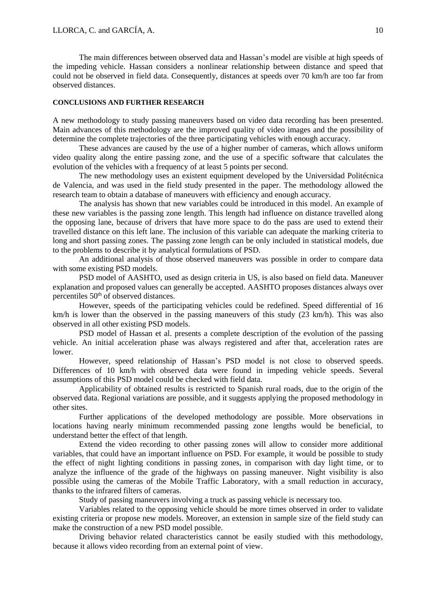The main differences between observed data and Hassan's model are visible at high speeds of the impeding vehicle. Hassan considers a nonlinear relationship between distance and speed that could not be observed in field data. Consequently, distances at speeds over 70 km/h are too far from observed distances.

## **CONCLUSIONS AND FURTHER RESEARCH**

A new methodology to study passing maneuvers based on video data recording has been presented. Main advances of this methodology are the improved quality of video images and the possibility of determine the complete trajectories of the three participating vehicles with enough accuracy.

These advances are caused by the use of a higher number of cameras, which allows uniform video quality along the entire passing zone, and the use of a specific software that calculates the evolution of the vehicles with a frequency of at least 5 points per second.

The new methodology uses an existent equipment developed by the Universidad Politécnica de Valencia, and was used in the field study presented in the paper. The methodology allowed the research team to obtain a database of maneuvers with efficiency and enough accuracy.

The analysis has shown that new variables could be introduced in this model. An example of these new variables is the passing zone length. This length had influence on distance travelled along the opposing lane, because of drivers that have more space to do the pass are used to extend their travelled distance on this left lane. The inclusion of this variable can adequate the marking criteria to long and short passing zones. The passing zone length can be only included in statistical models, due to the problems to describe it by analytical formulations of PSD.

An additional analysis of those observed maneuvers was possible in order to compare data with some existing PSD models.

PSD model of AASHTO, used as design criteria in US, is also based on field data. Maneuver explanation and proposed values can generally be accepted. AASHTO proposes distances always over percentiles 50<sup>th</sup> of observed distances.

However, speeds of the participating vehicles could be redefined. Speed differential of 16 km/h is lower than the observed in the passing maneuvers of this study (23 km/h). This was also observed in all other existing PSD models.

PSD model of Hassan et al. presents a complete description of the evolution of the passing vehicle. An initial acceleration phase was always registered and after that, acceleration rates are lower.

However, speed relationship of Hassan's PSD model is not close to observed speeds. Differences of 10 km/h with observed data were found in impeding vehicle speeds. Several assumptions of this PSD model could be checked with field data.

Applicability of obtained results is restricted to Spanish rural roads, due to the origin of the observed data. Regional variations are possible, and it suggests applying the proposed methodology in other sites.

Further applications of the developed methodology are possible. More observations in locations having nearly minimum recommended passing zone lengths would be beneficial, to understand better the effect of that length.

Extend the video recording to other passing zones will allow to consider more additional variables, that could have an important influence on PSD. For example, it would be possible to study the effect of night lighting conditions in passing zones, in comparison with day light time, or to analyze the influence of the grade of the highways on passing maneuver. Night visibility is also possible using the cameras of the Mobile Traffic Laboratory, with a small reduction in accuracy, thanks to the infrared filters of cameras.

Study of passing maneuvers involving a truck as passing vehicle is necessary too.

Variables related to the opposing vehicle should be more times observed in order to validate existing criteria or propose new models. Moreover, an extension in sample size of the field study can make the construction of a new PSD model possible.

Driving behavior related characteristics cannot be easily studied with this methodology, because it allows video recording from an external point of view.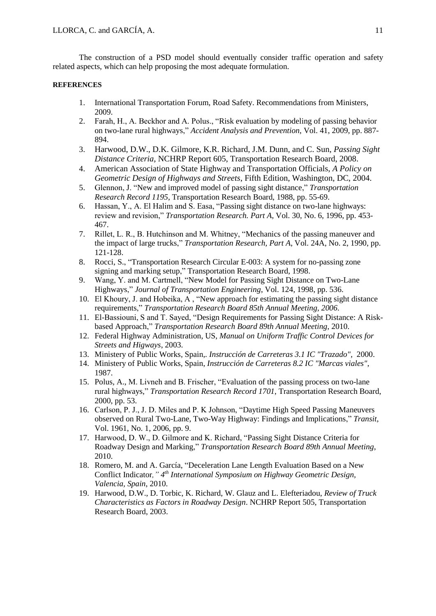The construction of a PSD model should eventually consider traffic operation and safety related aspects, which can help proposing the most adequate formulation.

#### **REFERENCES**

- 1. International Transportation Forum, Road Safety. Recommendations from Ministers, 2009.
- 2. Farah, H., A. Beckhor and A. Polus., "Risk evaluation by modeling of passing behavior on two-lane rural highways," *Accident Analysis and Prevention*, Vol. 41, 2009, pp. 887- 894.
- 3. Harwood, D.W., D.K. Gilmore, K.R. Richard, J.M. Dunn, and C. Sun, *Passing Sight Distance Criteria*, NCHRP Report 605, Transportation Research Board, 2008.
- 4. American Association of State Highway and Transportation Officials, *A Policy on Geometric Design of Highways and Streets*, Fifth Edition, Washington, DC, 2004.
- 5. Glennon, J. "New and improved model of passing sight distance," *Transportation Research Record 1195*, Transportation Research Board, 1988, pp. 55-69.
- 6. Hassan, Y., A. El Halim and S. Easa, "Passing sight distance on two-lane highways: review and revision," *Transportation Research. Part A*, Vol. 30, No. 6, 1996, pp. 453- 467.
- 7. Rillet, L. R., B. Hutchinson and M. Whitney, "Mechanics of the passing maneuver and the impact of large trucks," *Transportation Research, Part A,* Vol. 24A, No. 2, 1990, pp. 121-128.
- 8. Rocci, S., "Transportation Research Circular E-003: A system for no-passing zone signing and marking setup," Transportation Research Board, 1998.
- 9. Wang, Y. and M. Cartmell, "New Model for Passing Sight Distance on Two-Lane Highways," *Journal of Transportation Engineering*, Vol. 124, 1998, pp. 536.
- 10. El Khoury, J. and Hobeika, A , "New approach for estimating the passing sight distance requirements," *Transportation Research Board 85th Annual Meeting, 2006*.
- 11. El-Bassiouni, S and T. Sayed, "Design Requirements for Passing Sight Distance: A Riskbased Approach," *Transportation Research Board 89th Annual Meeting*, 2010.
- 12. Federal Highway Administration, US, *Manual on Uniform Traffic Control Devices for Streets and Higways*, 2003.
- 13. Ministery of Public Works, Spain,*. Instrucción de Carreteras 3.1 IC "Trazado",* 2000.
- 14. Ministery of Public Works, Spain, *Instrucción de Carreteras 8.2 IC "Marcas viales"*, 1987.
- 15. Polus, A., M. Livneh and B. Frischer, "Evaluation of the passing process on two-lane rural highways," *Transportation Research Record 1701*, Transportation Research Board, 2000, pp. 53.
- 16. Carlson, P. J., J. D. Miles and P. K Johnson, "Daytime High Speed Passing Maneuvers observed on Rural Two-Lane, Two-Way Highway: Findings and Implications," *Transit*, Vol. 1961, No. 1, 2006, pp. 9.
- 17. Harwood, D. W., D. Gilmore and K. Richard, "Passing Sight Distance Criteria for Roadway Design and Marking," *Transportation Research Board 89th Annual Meeting*, 2010.
- 18. Romero, M. and A. García, "Deceleration Lane Length Evaluation Based on a New Conflict Indicator*," 4 th International Symposium on Highway Geometric Design, Valencia, Spain*, 2010.
- 19. Harwood, D.W., D. Torbic, K. Richard, W. Glauz and L. Elefteriadou, *Review of Truck Characteristics as Factors in Roadway Design*. NCHRP Report 505, Transportation Research Board, 2003.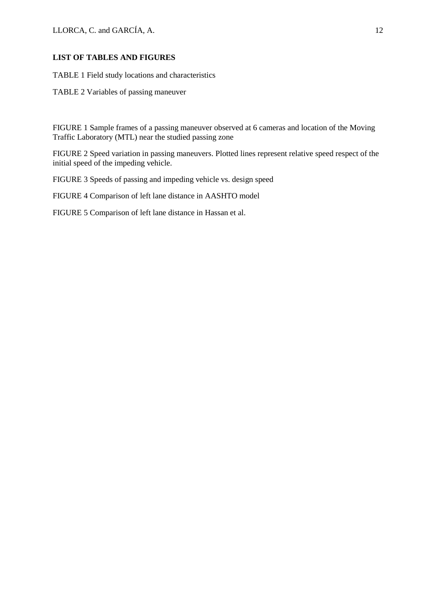# **LIST OF TABLES AND FIGURES**

TABLE 1 Field study locations and characteristics

TABLE 2 Variables of passing maneuver

FIGURE 1 Sample frames of a passing maneuver observed at 6 cameras and location of the Moving Traffic Laboratory (MTL) near the studied passing zone

FIGURE 2 Speed variation in passing maneuvers. Plotted lines represent relative speed respect of the initial speed of the impeding vehicle.

FIGURE 3 Speeds of passing and impeding vehicle vs. design speed

FIGURE 4 Comparison of left lane distance in AASHTO model

FIGURE 5 Comparison of left lane distance in Hassan et al.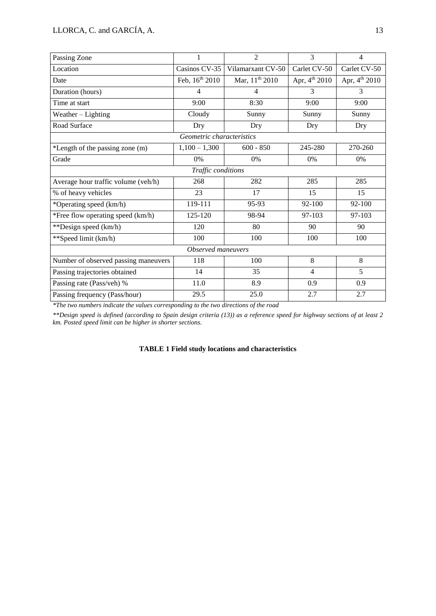| Passing Zone                         | 1               | $\overline{2}$                    | 3                  | $\overline{4}$     |  |  |  |  |  |  |
|--------------------------------------|-----------------|-----------------------------------|--------------------|--------------------|--|--|--|--|--|--|
| Location                             | Casinos CV-35   | Carlet CV-50<br>Vilamarxant CV-50 |                    | Carlet CV-50       |  |  |  |  |  |  |
| Date                                 | Feb, 16th 2010  | Mar, 11 <sup>th</sup> 2010        | Apr, $4^{th}$ 2010 | Apr, $4^{th}$ 2010 |  |  |  |  |  |  |
| Duration (hours)                     | $\overline{4}$  | $\overline{4}$                    | 3                  | 3                  |  |  |  |  |  |  |
| Time at start                        | 9:00            | 8:30                              | 9:00               | 9:00               |  |  |  |  |  |  |
| Weather - Lighting                   | Cloudy          | Sunny                             | Sunny              | Sunny              |  |  |  |  |  |  |
| Road Surface                         | Dry             | Dry                               | Dry                | Dry                |  |  |  |  |  |  |
| Geometric characteristics            |                 |                                   |                    |                    |  |  |  |  |  |  |
| *Length of the passing zone (m)      | $1,100 - 1,300$ | $600 - 850$                       | 245-280            | 270-260            |  |  |  |  |  |  |
| Grade                                | 0%              | $0\%$<br>$0\%$                    |                    | 0%                 |  |  |  |  |  |  |
| Traffic conditions                   |                 |                                   |                    |                    |  |  |  |  |  |  |
| Average hour traffic volume (veh/h)  | 268             | 282                               | 285                | 285                |  |  |  |  |  |  |
| % of heavy vehicles                  | 23              | 17                                | 15                 | 15                 |  |  |  |  |  |  |
| *Operating speed (km/h)              | 119-111         | 95-93                             | 92-100             | 92-100             |  |  |  |  |  |  |
| *Free flow operating speed (km/h)    | 125-120         | 98-94                             | 97-103             | 97-103             |  |  |  |  |  |  |
| **Design speed (km/h)                | 120             | 80                                | 90                 | 90                 |  |  |  |  |  |  |
| **Speed limit (km/h)                 | 100             | 100                               | 100                | 100                |  |  |  |  |  |  |
| Observed maneuvers                   |                 |                                   |                    |                    |  |  |  |  |  |  |
| Number of observed passing maneuvers | 118             | 100                               | 8                  | 8                  |  |  |  |  |  |  |
| Passing trajectories obtained        | 14              | 35                                | $\overline{4}$     | 5                  |  |  |  |  |  |  |
| Passing rate (Pass/veh) %            | 11.0            | 8.9                               | 0.9                | 0.9                |  |  |  |  |  |  |
| Passing frequency (Pass/hour)        | 29.5            | 25.0                              | 2.7                | 2.7                |  |  |  |  |  |  |

*\*The two numbers indicate the values corresponding to the two directions of the road*

*\*\*Design speed is defined (according to Spain design criteria (13)) as a reference speed for highway sections of at least 2 km. Posted speed limit can be higher in shorter sections.*

## **TABLE 1 Field study locations and characteristics**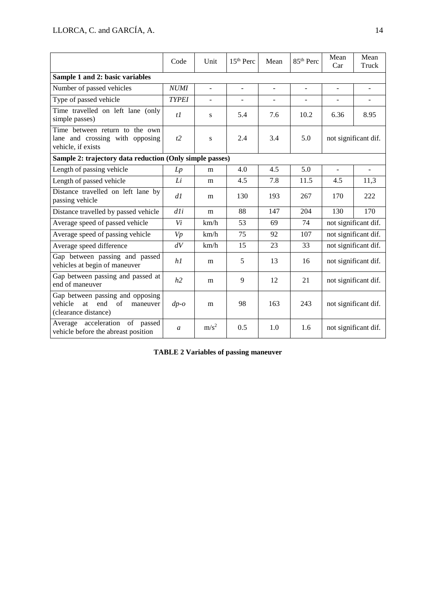|                                                                                                    | Code          | Unit             | 15 <sup>th</sup> Perc    | Mean                     | 85 <sup>th</sup> Perc    | Mean<br>Car              | Mean<br>Truck            |  |  |  |
|----------------------------------------------------------------------------------------------------|---------------|------------------|--------------------------|--------------------------|--------------------------|--------------------------|--------------------------|--|--|--|
| Sample 1 and 2: basic variables                                                                    |               |                  |                          |                          |                          |                          |                          |  |  |  |
| Number of passed vehicles                                                                          | <b>NUMI</b>   | $\omega$         | $\overline{a}$           | $\blacksquare$           | $\overline{\phantom{a}}$ | $\blacksquare$           | $\blacksquare$           |  |  |  |
| Type of passed vehicle                                                                             | <b>TYPEI</b>  | $\blacksquare$   | $\overline{\phantom{0}}$ | $\overline{\phantom{a}}$ | $\overline{\phantom{a}}$ | $\overline{\phantom{0}}$ | $\overline{\phantom{a}}$ |  |  |  |
| Time travelled on left lane (only<br>simple passes)                                                | $t\bar{l}$    | S                | 5.4                      | 7.6                      | 10.2                     | 6.36                     | 8.95                     |  |  |  |
| Time between return to the own<br>lane and crossing with opposing<br>vehicle, if exists            | t2            | ${\bf S}$        | 2.4                      | 3.4                      | 5.0                      | not significant dif.     |                          |  |  |  |
| Sample 2: trajectory data reduction (Only simple passes)                                           |               |                  |                          |                          |                          |                          |                          |  |  |  |
| Length of passing vehicle                                                                          | Lp            | m                | 4.0                      | 4.5                      | 5.0                      | ÷.                       | $\overline{a}$           |  |  |  |
| Length of passed vehicle                                                                           | Li            | m                | 4.5                      | 7.8                      | 11.5                     | 4.5                      | 11,3                     |  |  |  |
| Distance travelled on left lane by<br>passing vehicle                                              | dl            | m                | 130                      | 193                      | 267                      | 170                      | 222                      |  |  |  |
| Distance travelled by passed vehicle                                                               | dli           | m                | 88                       | 147                      | 204                      | 130                      | 170                      |  |  |  |
| Average speed of passed vehicle                                                                    | Vi            | km/h             | 53                       | 69                       | 74                       | not significant dif.     |                          |  |  |  |
| Average speed of passing vehicle                                                                   | Vp            | km/h             | 75                       | 92                       | 107                      | not significant dif.     |                          |  |  |  |
| Average speed difference                                                                           | dV            | km/h             | 15                       | 23                       | 33                       | not significant dif.     |                          |  |  |  |
| Gap between passing and passed<br>vehicles at begin of maneuver                                    | h1            | m                | 5                        | 13                       | 16                       | not significant dif.     |                          |  |  |  |
| Gap between passing and passed at<br>end of maneuver                                               | h2            | m                | 9                        | 12                       | 21                       | not significant dif.     |                          |  |  |  |
| Gap between passing and opposing<br>of<br>vehicle<br>at<br>end<br>maneuver<br>(clearance distance) | $dp$ -o       | m                | 98                       | 163                      | 243                      | not significant dif.     |                          |  |  |  |
| Average acceleration<br>of passed<br>vehicle before the abreast position                           | $\mathfrak a$ | m/s <sup>2</sup> | 0.5                      | 1.0                      | 1.6                      | not significant dif.     |                          |  |  |  |

**TABLE 2 Variables of passing maneuver**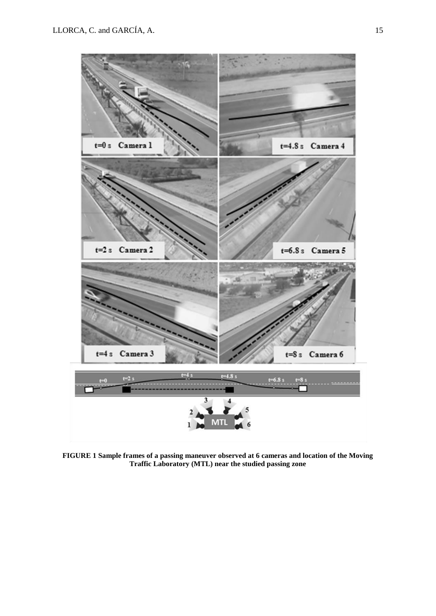

**FIGURE 1 Sample frames of a passing maneuver observed at 6 cameras and location of the Moving Traffic Laboratory (MTL) near the studied passing zone**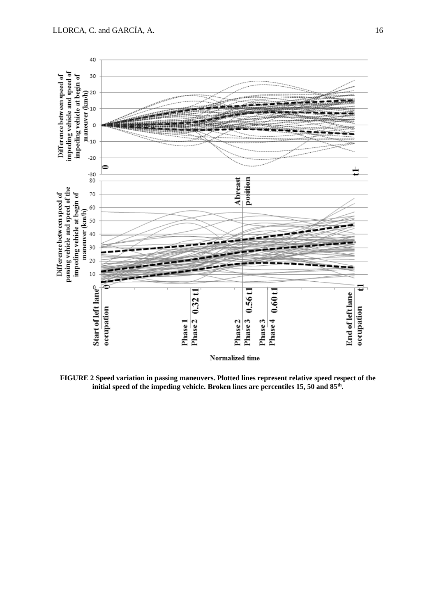

**FIGURE 2 Speed variation in passing maneuvers. Plotted lines represent relative speed respect of the initial speed of the impeding vehicle. Broken lines are percentiles 15, 50 and 85th .**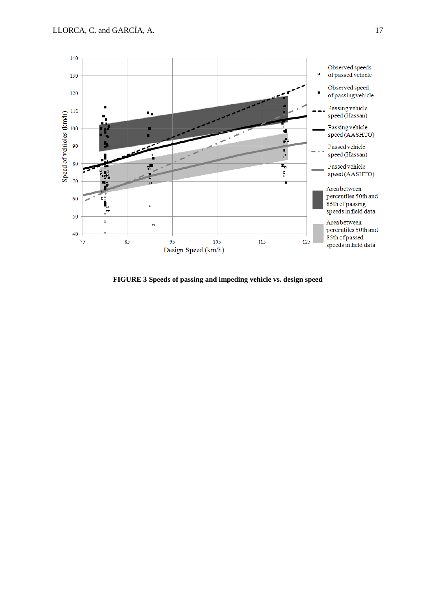

**FIGURE 3 Speeds of passing and impeding vehicle vs. design speed**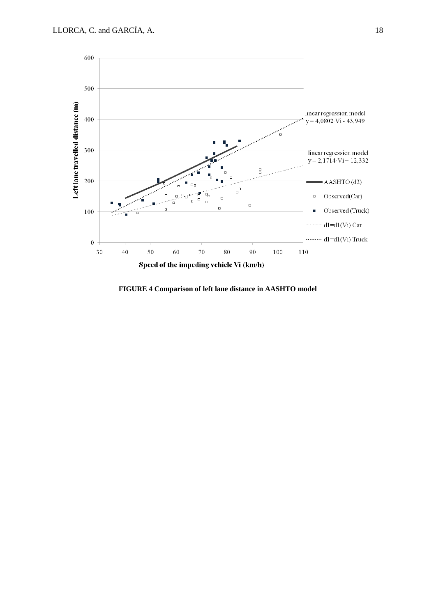

**FIGURE 4 Comparison of left lane distance in AASHTO model**